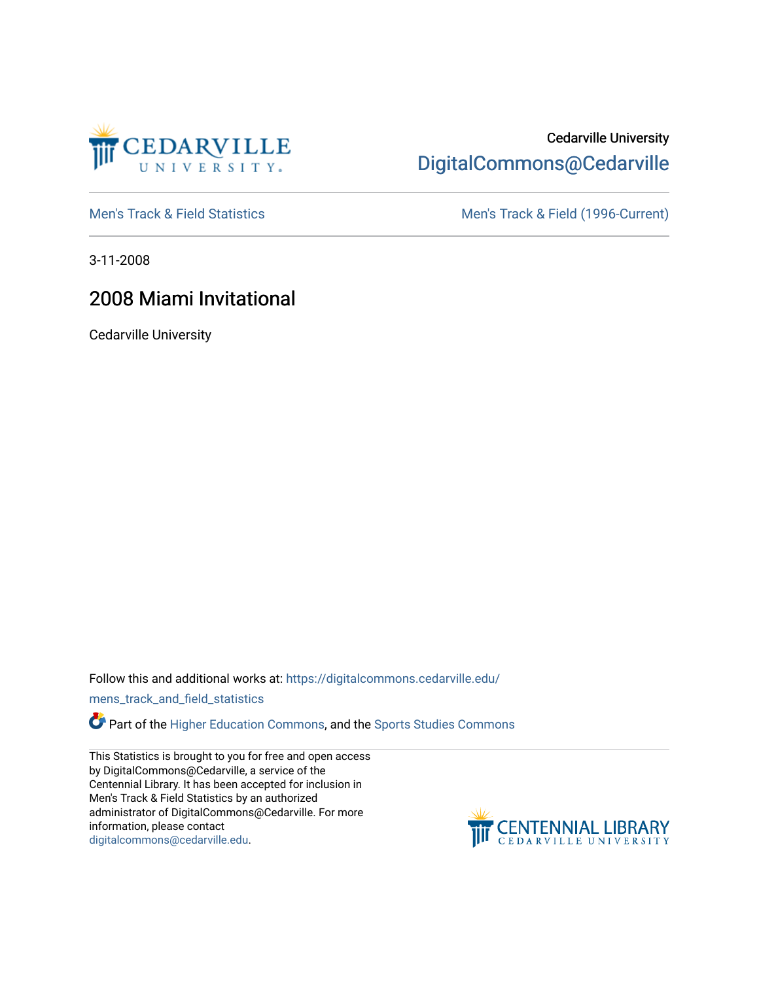

## Cedarville University [DigitalCommons@Cedarville](https://digitalcommons.cedarville.edu/)

[Men's Track & Field Statistics](https://digitalcommons.cedarville.edu/mens_track_and_field_statistics) [Men's Track & Field \(1996-Current\)](https://digitalcommons.cedarville.edu/mens_track_and_field) 

3-11-2008

# 2008 Miami Invitational

Cedarville University

Follow this and additional works at: [https://digitalcommons.cedarville.edu/](https://digitalcommons.cedarville.edu/mens_track_and_field_statistics?utm_source=digitalcommons.cedarville.edu%2Fmens_track_and_field_statistics%2F193&utm_medium=PDF&utm_campaign=PDFCoverPages)

[mens\\_track\\_and\\_field\\_statistics](https://digitalcommons.cedarville.edu/mens_track_and_field_statistics?utm_source=digitalcommons.cedarville.edu%2Fmens_track_and_field_statistics%2F193&utm_medium=PDF&utm_campaign=PDFCoverPages)

Part of the [Higher Education Commons,](http://network.bepress.com/hgg/discipline/1245?utm_source=digitalcommons.cedarville.edu%2Fmens_track_and_field_statistics%2F193&utm_medium=PDF&utm_campaign=PDFCoverPages) and the Sports Studies Commons

This Statistics is brought to you for free and open access by DigitalCommons@Cedarville, a service of the Centennial Library. It has been accepted for inclusion in Men's Track & Field Statistics by an authorized administrator of DigitalCommons@Cedarville. For more information, please contact [digitalcommons@cedarville.edu](mailto:digitalcommons@cedarville.edu).

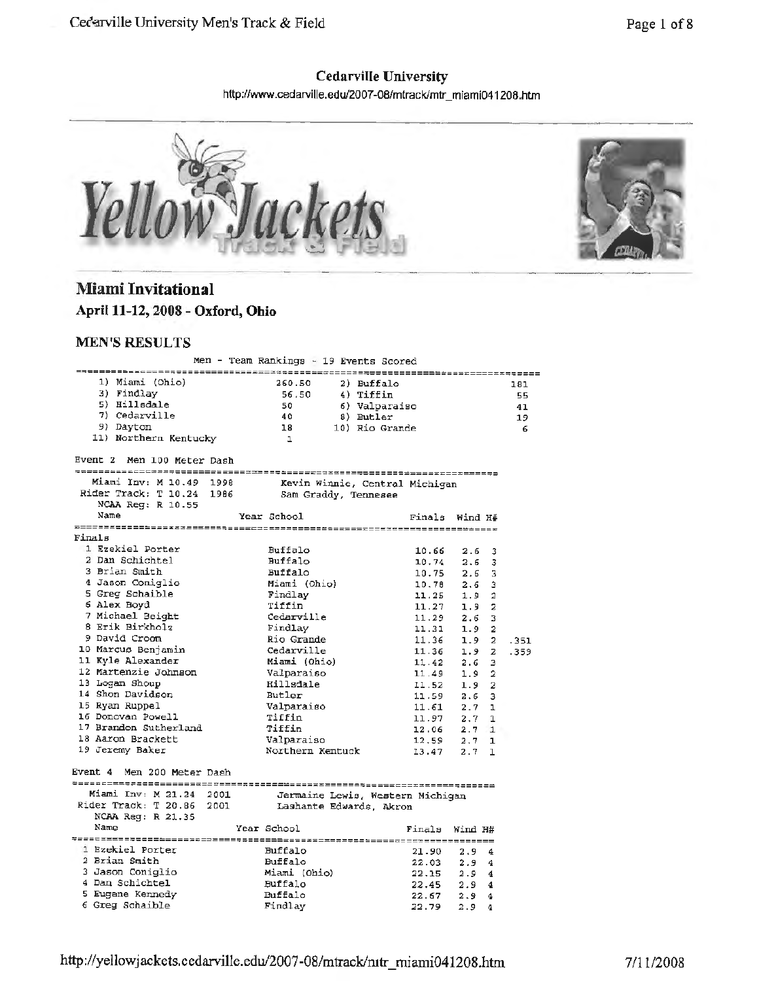### **Cedarville University**

http:1/www .cedarville.edu/2007-08/mtrack/mtr \_ miami041208.htm



## **Miami Invitational April 11-12, 2008 - Oxford, Ohio**

#### **MEN'S RESULTS**

|                                                          | Men - Team Rankings - 19 Events Scored |       |                           |           |
|----------------------------------------------------------|----------------------------------------|-------|---------------------------|-----------|
| 1) Miami (Ohio)                                          | 260.50<br>2) Buffalo                   |       |                           |           |
| 3) Findlay                                               | 56.50<br>4) Tiffin                     |       |                           | 181<br>55 |
| 5) Hillsdale                                             | 50<br>6) Valparaiso                    |       |                           | 41        |
| 7) Cedarville                                            | 40<br>8) Butler                        |       |                           | 19        |
| 9) Dayton                                                | 18<br>10) Rio Grande                   |       |                           | 6         |
| 11) Northern Kentucky                                    | $\mathbf{1}$                           |       |                           |           |
| Event 2 Men 100 Meter Dash                               |                                        |       |                           |           |
| Miami Inv: M 10.49 1998                                  |                                        |       |                           |           |
| Rider Track: T 10.24 1986                                | Kevin Winnie, Central Michigan         |       |                           |           |
| NCAA Reg: R 10.55                                        | Sam Graddy, Tennesee                   |       |                           |           |
| Name                                                     | Year School                            |       | Finals Wind H#            |           |
|                                                          |                                        |       |                           |           |
| Finals                                                   |                                        |       |                           |           |
| 1 Ezekiel Porter                                         | Buffalo                                | 10.66 | 2.6<br>3                  |           |
| 2 Dan Schichtel                                          | <b>Buffalo</b>                         | 10.74 | 3<br>2.6                  |           |
| 3 Brian Smith                                            | Buffalo                                | 10.75 | 2.6<br>3                  |           |
| 4 Jason Coniglio                                         | Miami (Ohio)                           | 10.78 | 2.6<br>з                  |           |
| 5 Greg Schaible                                          | Findlay                                | 11,25 | 1.9<br>$\overline{2}$     |           |
| 6 Alex Boyd                                              | Tiffin                                 | 11.27 | $1.9 -$<br>$\overline{z}$ |           |
| 7 Michael Beight                                         | Cedarville                             | 11.29 | 2.6<br>3                  |           |
| 8 Erik Birkholz                                          | Findlay                                | 11.31 | 2<br>1.9                  |           |
| 9 David Croom                                            | Rio Grande                             | 11.36 | 1.9<br>2                  | .351      |
| 10 Marcus Benjamin                                       | Cedarville                             | 11.36 | $\mathbf{z}$<br>1.9       | .359      |
| 11 Kyle Alexander                                        | Miami (Ohio)                           | 11.42 | 2.6<br>э                  |           |
| 12 Martenzie Johnson                                     | Valparaiso                             | 11.49 | 1.9<br>2                  |           |
| 13 Logan Shoup                                           | Hillsdale                              | 11.52 | $\overline{2}$<br>1.9     |           |
| 14 Shon Davidson                                         | Butler                                 | 11.59 | 2.6<br>з                  |           |
| 15 Ryan Ruppel                                           | Valparaigo                             | 11.61 | $2.7 -$<br>ı              |           |
| 16 Donovan Powell                                        | Tiffin                                 | 11.97 | 2.7<br>$\mathbf{1}$       |           |
| 17 Brandon Sutherland                                    | Tiffin                                 | 12.06 | $2.7 \quad 1$             |           |
| 18 Aaron Brackett                                        | Valparaiso                             | 12.59 | $2.7 -$<br>$\mathbf{1}$   |           |
| 19 Jeremy Baker                                          | Northern Kentuck                       | 13.47 | $2.7 -$<br>1              |           |
| Event 4 Men 200 Meter Dash                               |                                        |       |                           |           |
| Miami Inv: M 21.24 2001 Jermaine Lewis, Western Michigan |                                        |       |                           |           |
| Rider Track: T 20.86 2001 Lashante Edwards, Akron        |                                        |       |                           |           |
| NCAA Reg: R 21.35                                        |                                        |       |                           |           |
| Name                                                     | Year School                            |       | Finals Wind H#            |           |
| 1 Ezekiel Porter                                         | Buffalo                                | 21.90 | 2.94                      |           |
| 2 Brian Smith                                            | <b>Buffalo</b>                         | 22.03 | 2.94                      |           |
| 3 Jason Coniglio                                         | Miami (Ohio)                           | 22.15 | 2.94                      |           |
| 4 Dan Schichtel                                          | Buffalo                                | 22.45 | 2.94                      |           |
| 5 Eugene Kennedy                                         | Buffalo                                | 22.67 | 2.94                      |           |
| 6 Greg Schaible                                          | Findlay                                | 22.79 | 2.94                      |           |
|                                                          |                                        |       |                           |           |

http://yellowjackets.cedarville.edu/2007-08/mtrack/ntr\_miami041208.htm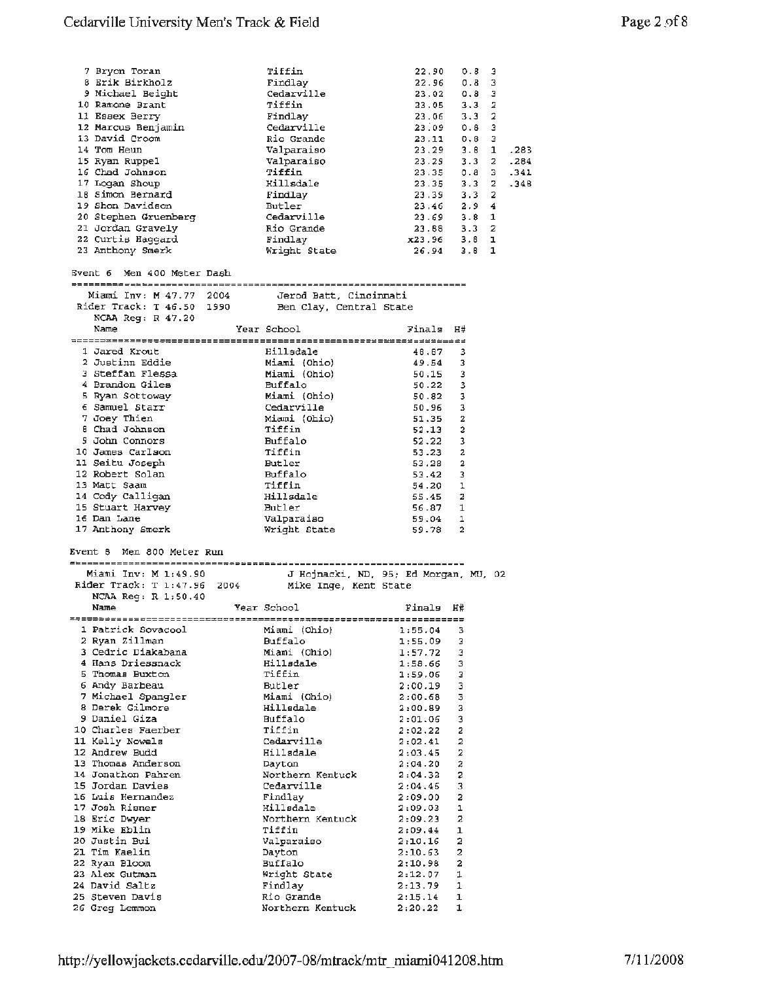| 7 Bryon Toran                                                                                                   | Tiffin                                               | 22.90                                                                                  |                         | 0.8 | з                           |              |
|-----------------------------------------------------------------------------------------------------------------|------------------------------------------------------|----------------------------------------------------------------------------------------|-------------------------|-----|-----------------------------|--------------|
| 8 Erik Birkholz                                                                                                 | Findlay                                              | $22.96$ $0.8$                                                                          |                         |     | 3                           |              |
| 9 Michael Beight                                                                                                | Cedarville                                           | 23.02                                                                                  |                         | 0.8 | з                           |              |
| 10 Ramone Brant                                                                                                 | Tiffin                                               | $23.05$ 3.3<br>$23.06$ 3.3<br>$23.09$ 0.8<br>$23.11$ 0.8<br>$23.29$ 3.8<br>$23.29$ 3.3 |                         |     | 2                           |              |
| 11 Essex Berry                                                                                                  | Findlay                                              |                                                                                        |                         |     | 2                           |              |
| 12 Marcus Benjamin                                                                                              | Cedarville                                           |                                                                                        |                         |     | з                           |              |
| 13 David Croom                                                                                                  | Rio Grande                                           |                                                                                        |                         |     | з                           |              |
| 14 Tom Heun                                                                                                     |                                                      |                                                                                        |                         |     | $\mathbf{1}$<br>$2^{\circ}$ | .283<br>.284 |
| 15 Ryan Ruppel<br>16 Chad Johnson                                                                               |                                                      | 23.35 0.8                                                                              |                         |     | 3.                          | .341         |
| 17 Logan Shoup                                                                                                  | Valparuu<br>Valparaiso<br>Tiffin<br>Ilmaale          | 23.35 3.3                                                                              |                         |     | 2.                          | .348         |
| 18 Simon Bernard                                                                                                | Findlay                                              |                                                                                        |                         |     | 2                           |              |
| 19 Shon Davidson                                                                                                | Butler                                               | 23.39 3.3<br>23.46 2.9                                                                 |                         |     | 4                           |              |
| 20 Stephen Gruenberg                                                                                            | Cedarville<br>Rio Grande<br>Findlay                  | 23.69 3.8 1<br>23.88 3.3 2                                                             |                         |     |                             |              |
| 21 Jordan Gravely                                                                                               |                                                      |                                                                                        |                         |     |                             |              |
| 22 Curtis Haggard                                                                                               |                                                      | x23.96 3.8 1<br>26.94 3.8 1                                                            |                         |     |                             |              |
| 23 Anthony Smerk                                                                                                | Wright State                                         |                                                                                        |                         |     |                             |              |
| Event 6 Men 400 Meter Dash                                                                                      |                                                      |                                                                                        |                         |     |                             |              |
|                                                                                                                 |                                                      |                                                                                        |                         |     |                             |              |
| Miami Inv: M 47.77 2004 - Jerod Batt, Cincinnati                                                                |                                                      |                                                                                        |                         |     |                             |              |
| Rider Track: T 46.50 1990 Ben Clay, Central State                                                               |                                                      |                                                                                        |                         |     |                             |              |
| NCAA $Req: R$ 47.20                                                                                             |                                                      |                                                                                        |                         |     |                             |              |
| Name                                                                                                            | Year School                                          | Finals                                                                                 | Η#                      |     |                             |              |
|                                                                                                                 |                                                      |                                                                                        |                         |     |                             |              |
| 1 Jared Krout                                                                                                   | Hillsdale                                            | 48.67                                                                                  | - 3                     |     |                             |              |
| 2 Justinn Eddie                                                                                                 | Hillsdale<br>Miami (Ohio)<br>Miami (Ohio)<br>Buffalo | 49.54 3                                                                                |                         |     |                             |              |
| 3 Steffan Flessa                                                                                                |                                                      | $50.15$ 3                                                                              |                         |     |                             |              |
| 4 Brandon Giles                                                                                                 |                                                      | 50.22 3                                                                                |                         |     |                             |              |
| 5 Ryan Sottoway                                                                                                 | Miami (Ohio)<br>Cedarville                           | $50.82$ 3<br>50.96 3                                                                   |                         |     |                             |              |
| 6 Samuel Starr<br>7 Joey Thien                                                                                  |                                                      | 51.35 2                                                                                |                         |     |                             |              |
| 8 Chad Johnson                                                                                                  | Miami (Ohio)<br>Tiffin                               | $52.13$ 2                                                                              |                         |     |                             |              |
| 9 John Connors                                                                                                  |                                                      | $52.22$ 3                                                                              |                         |     |                             |              |
| 10 James Carlson                                                                                                | Buffalo<br>Tiffin                                    | 53.23                                                                                  | 2                       |     |                             |              |
| 11 Seitu Joseph                                                                                                 |                                                      | 53.28 2                                                                                |                         |     |                             |              |
| 12 Robert Solan                                                                                                 | Butler<br>Buffalo                                    | 53.42 3                                                                                |                         |     |                             |              |
| 13 Matt Saam                                                                                                    | Tiffin                                               | 54.20 1                                                                                |                         |     |                             |              |
| 14 Cody Calligan                                                                                                | Hillsdale                                            | 55.45 2                                                                                |                         |     |                             |              |
| 15 Stuart Harvey                                                                                                |                                                      | $56.87$ 1                                                                              |                         |     |                             |              |
| 16 Dan Lane                                                                                                     | Butler<br>Valparaiso                                 | 59.04 1                                                                                |                         |     |                             |              |
| 17 Anthony Smerk                                                                                                | Wright State                                         | 59.78 2                                                                                |                         |     |                             |              |
| Event 8 Men 800 Meter Run                                                                                       |                                                      |                                                                                        |                         |     |                             |              |
|                                                                                                                 |                                                      |                                                                                        |                         |     |                             |              |
| Miami Inv: M 1:49.90 J Hojnacki, ND, 95; Ed Morgan, MU, 02<br>Rider Track: T 1:47.96 2004 Mike Inge, Kent State |                                                      |                                                                                        |                         |     |                             |              |
| NCAA Req: R 1:50.40                                                                                             |                                                      |                                                                                        |                         |     |                             |              |
| Name                                                                                                            | <b>Example 2</b> Year School                         | Finals H#                                                                              |                         |     |                             |              |
|                                                                                                                 |                                                      |                                                                                        |                         |     |                             |              |
| 1 Patrick Sovacool                                                                                              | Miami (Ohio) 1:55.04<br>Puffolo 1:55.09              |                                                                                        | - 3                     |     |                             |              |
| 2 Ryan Zillman                                                                                                  | Buffalo                                              | $1:55.09$ 3                                                                            |                         |     |                             |              |
| 3 Cedric Diakabana                                                                                              | Miami (Ohio)                                         | $1:57.72$ 3                                                                            |                         |     |                             |              |
| 4 Hans Driessnack                                                                                               | Hillsdale                                            | $1:58.66$ 3<br>$1:59.06$ 3                                                             |                         |     |                             |              |
| 5 Thomas Buxton                                                                                                 | Tiffin                                               |                                                                                        |                         |     |                             |              |
| 6 Andy Barbeau                                                                                                  | Butler                                               | 2:00.19                                                                                | -3                      |     |                             |              |
| 7 Michael Spangler<br>8 Derek Gilmore                                                                           | Miami (Ohio)                                         | 2:00.68                                                                                | $\overline{\mathbf{3}}$ |     |                             |              |
| 9 Daniel Giza                                                                                                   | Hillsdale<br>Buffalo                                 | 2:00.89 3<br>2:01.06                                                                   | $\overline{\mathbf{3}}$ |     |                             |              |
| 10 Charles Faerber                                                                                              | Tiffin                                               |                                                                                        | $\boldsymbol{2}$        |     |                             |              |
| 11 Kelly Nowels                                                                                                 | Cedarville                                           | $2:02.22$<br>$2:02.41$                                                                 | - 2                     |     |                             |              |
| 12 Andrew Budd                                                                                                  | Hillsdale                                            | 2:03.45                                                                                | $\overline{a}$          |     |                             |              |
| 13 Thomas Anderson                                                                                              | Dayton                                               | 2:04.20                                                                                | $\overline{z}$          |     |                             |              |
| 14 Jonathon Pahren                                                                                              | Northern Kentuck $2:04.32$                           |                                                                                        | $\overline{a}$          |     |                             |              |
| 15 Jordan Davies                                                                                                | Cedarville                                           | 2:04.46                                                                                | 3                       |     |                             |              |
| 16 Luis Hernandez                                                                                               | Findlay                                              | 2:09.00                                                                                | $\overline{\mathbf{2}}$ |     |                             |              |
| 17 Josh Risner                                                                                                  | Hillsdale                                            | 2:09.03                                                                                | $\mathbf{1}$            |     |                             |              |
| 18 Eric Dwyer                                                                                                   | Northern Kentuck                                     | 2:09.23                                                                                | 2                       |     |                             |              |
| 19 Mike Eblin                                                                                                   | Tiffin                                               | 2:09.44                                                                                | 1                       |     |                             |              |
| 20 Justin Bui                                                                                                   | Valparaiso                                           | 2:10.16                                                                                | 2                       |     |                             |              |
| 21 Tim Kaelin                                                                                                   | Dayton                                               | 2:10.63                                                                                | 2                       |     |                             |              |
| 22 Ryan Bloom<br>23 Alex Gutman                                                                                 | Buffalo                                              | 2:10.98                                                                                | $\overline{a}$          |     |                             |              |
| 24 David Saltz                                                                                                  | Wright State<br>Findlay                              | 2:12.07<br>2:13.79                                                                     | 1<br>1                  |     |                             |              |
| 25 Steven Davis                                                                                                 | Rio Grande                                           | 2:15.14                                                                                | 1                       |     |                             |              |
|                                                                                                                 |                                                      |                                                                                        |                         |     |                             |              |

Northern Kentuck

2:20.22 1

26 Greg Lemmon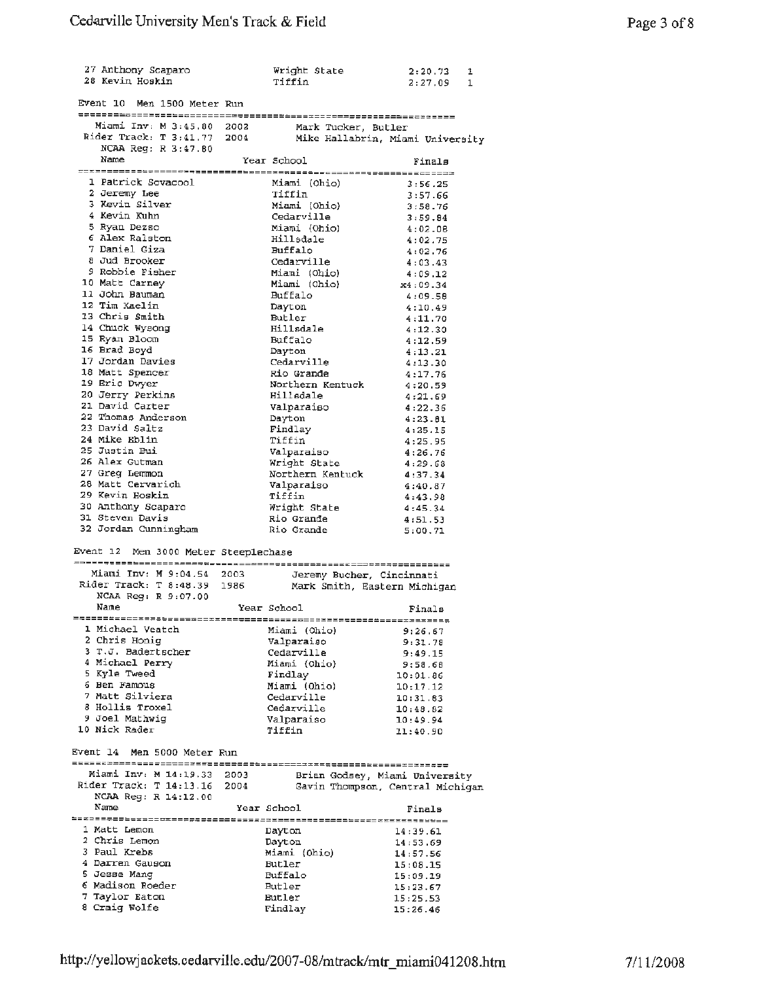| 27 Anthony Scaparo<br>28 Kevin Hoskin                                                                               | Wright State<br>Tiffin | 2:20.73<br>1<br>2:27.09<br>1     |
|---------------------------------------------------------------------------------------------------------------------|------------------------|----------------------------------|
| Event 10 Men 1500 Meter Run                                                                                         |                        |                                  |
|                                                                                                                     |                        |                                  |
| Miami Inv: M 3:45.80 2002                                                                                           |                        | Mark Tucker, Butler              |
| Rider Track: T 3:41.77 2004                                                                                         |                        | Mike Hallabrin, Miami University |
| NCAA Reg: R 3:47.80<br>Name                                                                                         | Year School            | Finals                           |
|                                                                                                                     |                        |                                  |
| 1 Patrick Sovacool                                                                                                  | Miami (Ohio)           | 3:56.25                          |
| 2 Jeremy Lee                                                                                                        | Tiffin                 | 3:57.66                          |
| 3 Kevin Silver<br>4 Kevin Kuhn                                                                                      | Miami (Ohio)           | 3:58.76                          |
| 5 Ryan Dezso                                                                                                        | Cedarville             | 3:59.84                          |
| 6 Alex Ralston                                                                                                      | Miami (Ohio)           | 4:02.08                          |
| 7 Daniel Giza                                                                                                       | Hillsdale              | 4:02.75                          |
| 8 Jud Brooker                                                                                                       | Buffalo<br>Cedarville  | 4:02.76                          |
| 9 Robbie Fisher                                                                                                     | Miami (Ohio)           | 4:03.43                          |
| 10 Matt Carney                                                                                                      | Miami (Ohio)           | 4:09.12                          |
| 11 John Bauman                                                                                                      | Buffalo                | x4:09.34<br>4:09.58              |
| 12 Tim Kaelin                                                                                                       | Dayton                 | 4:10.49                          |
| 13 Chris Smith                                                                                                      | Butler                 | 4:11.70                          |
| 14 Chuck Wysong                                                                                                     | Hillsdale              | 4:12.30                          |
| 15 Ryan Bloom                                                                                                       | Buffalo                | 4:12.59                          |
| 16 Brad Boyd                                                                                                        | Dayton                 | 4:13.21                          |
| 17 Jordan Davies                                                                                                    | Cedarville             | 4:13.30                          |
| 18 Matt Spencer                                                                                                     | Rio Grande             | 4:17.76                          |
| 19 Eric Dwyer                                                                                                       | Northern Kentuck       | 4:20.59                          |
| 20 Jerry Perkins                                                                                                    | Hillsdale              | 4:21.69                          |
| 21 David Carter                                                                                                     | Valparaiso             | 4:22.36                          |
| 22 Thomas Anderson                                                                                                  | Dayton                 | 4:23.81                          |
| 23 David Saltz                                                                                                      | Findlay                | 4:25.15                          |
| 24 Mike Eblin                                                                                                       | Tiffin                 | 4:25.95                          |
| 25 Justin Bui                                                                                                       | Valparaiso             | 4:26.76                          |
| 26 Alex Gutman                                                                                                      | Wright State           | 4:29.68                          |
| 27 Greg Lemmon                                                                                                      | Northern Kentuck       | 4:37.34                          |
| 28 Matt Cervarich                                                                                                   | Valparaiso             | 4:40.87                          |
| 29 Kevin Hoskin                                                                                                     | Tiffin                 | 4:43.98                          |
| 30 Anthony Scaparo                                                                                                  | Wright State           | 4:45.34                          |
| 31 Steven Davis                                                                                                     | Rio Grande             | 4:51.53                          |
| 32 Jordan Cunningham                                                                                                | Rio Grande             | 5:00.71                          |
| Event 12 Men 3000 Meter Steeplechase                                                                                |                        |                                  |
|                                                                                                                     |                        |                                  |
| Miami Inv: M 9:04.54 2003                                                                                           |                        | Jeremy Bucher, Cincinnati        |
| Miami Inv: M 9:04.54 2003 - Jeremy Bucher, Cindinnati<br>Rider Track: T 8:48.39 1986 - Mark Smith, Eastern Michigan |                        |                                  |
| NCAA Reg: R 9:07.00                                                                                                 |                        |                                  |
| Name                                                                                                                | Year School            | Finals                           |
|                                                                                                                     |                        |                                  |
| 1 Michael Veatch                                                                                                    | Miami (Ohio)           | 9:26.67                          |
| 2 Chris Honig                                                                                                       | Valparaiso             | 9:31.78                          |
| 3 T.J. Badertscher                                                                                                  | Cedarville             | 9:49.15                          |
| 4 Michael Perry                                                                                                     | Miami (Ohio)           | 9:58.68                          |
| 5 Kyle Tweed                                                                                                        | Findlay                | 10:01.86                         |
| 6 Ben Famous                                                                                                        | Miami (Ohio)           | 10:17.12                         |
| 7 Matt Silviera                                                                                                     | Cedarville             | 10:31.83                         |
| 8 Hollis Troxel                                                                                                     | Cedarville             | 10:48.82                         |
| 9 Joel Mathwig<br>10 Nick Rader                                                                                     | Valparaiso             | 10:49.94                         |
|                                                                                                                     | Tiffin                 | 11:40.90                         |
| Event 14 Men 5000 Meter Run                                                                                         |                        |                                  |
| Miami Inv: M 14:19.33 2003                                                                                          |                        |                                  |
| Rider Track: T $14:13.16$ 2004                                                                                      |                        | Brian Godsey, Miami University   |
| NCAA Reg: R 14:12.00                                                                                                |                        | Gavin Thompson, Central Michigan |
| Name                                                                                                                | Year School            |                                  |
|                                                                                                                     |                        | Finals                           |
| 1 Matt Lemon                                                                                                        | Dayton                 |                                  |
| 2 Chris Lemon                                                                                                       | Dayton                 | 14:39.61                         |
| 3 Paul Krebs                                                                                                        | Miami (Ohio)           | 14:53.69                         |
| 4 Darren Gauson                                                                                                     | Butler                 | 14:57.56                         |
| 5 Jesse Mang                                                                                                        | Buffalo                | 15:08.15                         |
| 6 Madison Roeder                                                                                                    | Butler                 | 15:09.19                         |
| 7 Taylor Eaton                                                                                                      | Butler                 | 15:23.67                         |
| 8 Craig Wolfe                                                                                                       | Findlay                | 15:25.53<br>15:26.46             |
|                                                                                                                     |                        |                                  |
|                                                                                                                     |                        |                                  |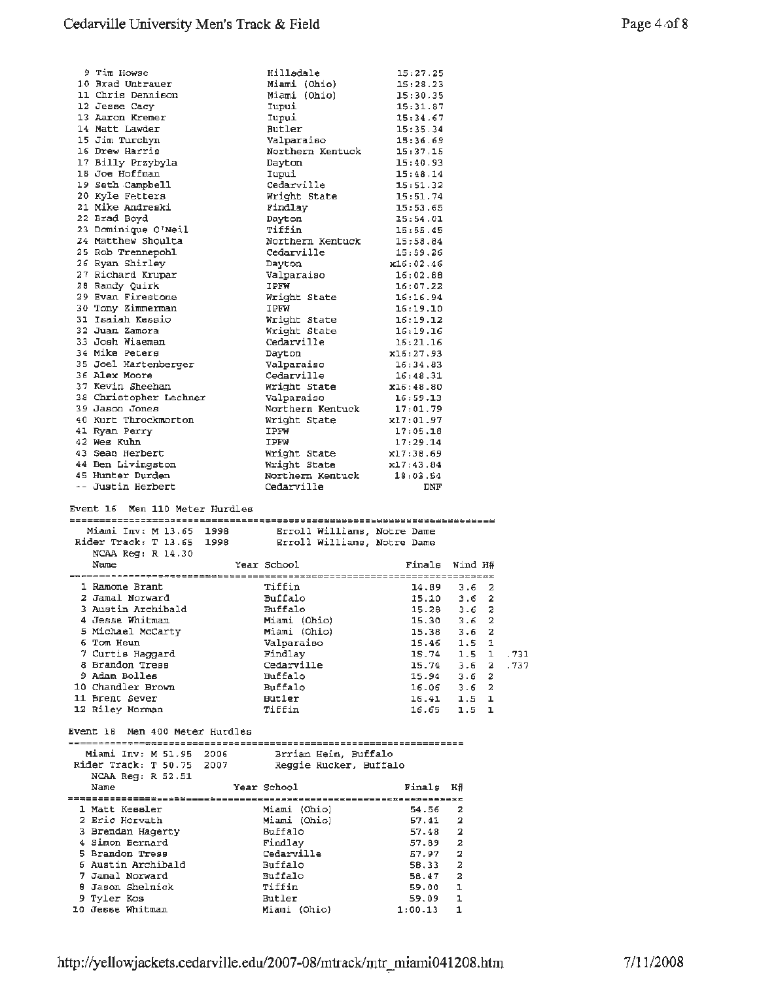| 9 Tim Howse                                                                                                  |             | Hillsdale                  | 15:27.25                 |                  |  |
|--------------------------------------------------------------------------------------------------------------|-------------|----------------------------|--------------------------|------------------|--|
| 10 Brad Untrauer                                                                                             |             | Miami (Ohio)               | 15:28.23                 |                  |  |
| 11 Chris Dennison                                                                                            |             | Miami (Ohio)               | 15:30.35                 |                  |  |
| 12 Jesse Cacy                                                                                                |             | Iupui                      | 15:31.87                 |                  |  |
| 13 Aaron Kremer                                                                                              |             | Iupui                      | $15:34.67$<br>$15:35.34$ |                  |  |
| 14 Matt Lawder                                                                                               |             | Butler<br>Valparaiso       |                          |                  |  |
| 15 Jim Turchyn<br>16 Drew Harris                                                                             |             | Northern Kentuck           | 15:36.69<br>15:37.15     |                  |  |
| 17 Billy Przybyla                                                                                            |             | Dayton                     | 15:40.93                 |                  |  |
| 18 Joe Hoffman                                                                                               |             | Iupui                      | 15:48.14                 |                  |  |
| 19 Seth Campbell                                                                                             |             | Cedarville                 | 15:51.32                 |                  |  |
| 20 Kyle Fetters                                                                                              |             | Wright State               | 15:51.74                 |                  |  |
| 21 Mike Andreski                                                                                             |             | Findlay                    | 15:53.65                 |                  |  |
| 22 Brad Boyd                                                                                                 |             | Dayton                     | 15:54.01                 |                  |  |
| 23 Dominique O'Neil                                                                                          |             | Tiffin                     | 15:55.45                 |                  |  |
| 24 Matthew Shoulta                                                                                           |             | Northern Kentuck           | 15:58.84                 |                  |  |
| 25 Rob Trennepohl                                                                                            |             | Cedarville                 | 15:59.26                 |                  |  |
| 26 Ryan Shirley                                                                                              |             | Dayton<br>Valparaiso       | x16:02.46                |                  |  |
| 27 Richard Krupar<br>28 Randy Quirk                                                                          |             | IPFW                       | 16:02.88<br>16:07.22     |                  |  |
| 29 Evan Firestone                                                                                            |             | Wright State               | 16:16.94                 |                  |  |
| 30 Tony Zimmerman                                                                                            |             | IPFW                       | 16:19.10                 |                  |  |
| 31 Isaiah Kessio                                                                                             |             | Wright State               | 16:19.12                 |                  |  |
| 32 Juan Zamora                                                                                               |             |                            | 16:19.16                 |                  |  |
| 33 Josh Wiseman                                                                                              |             | Wright State<br>Cedarville | 16:21.16                 |                  |  |
| 34 Mike Peters                                                                                               |             |                            | x16:27.93                |                  |  |
| 35 Joel Hartenberger                                                                                         |             | Dayton<br>Valparaiso       | 16:34.83<br>16:48.31     |                  |  |
| 36 Alex Moore                                                                                                |             | Cedarville                 |                          |                  |  |
| 37 Kevin Sheehan                                                                                             |             | Wright State<br>Valparaiso | x16:48.80                |                  |  |
| 38 Christopher Lechner                                                                                       |             |                            | 16:59.13                 |                  |  |
| 39 Jason Jones                                                                                               |             | Northern Kentuck 17:01.79  |                          |                  |  |
| 40 Kurt Throckmorton                                                                                         |             | Wright State<br>----       | x17:01.97                |                  |  |
| 41 Ryan Perry<br>42 Wes Kuhn                                                                                 |             | IPFW<br>IPFW               | 17:05.18<br>17:29.14     |                  |  |
| 43 Sean Herbert                                                                                              |             | Wright State               | x17:38.69                |                  |  |
| 44 Ben Livingston                                                                                            |             | Wright State               | x17:43.84                |                  |  |
| 45 Hunter Durden                                                                                             |             | Northern Kentuck 18:03.54  |                          |                  |  |
| -- Justin Herbert                                                                                            |             | Cedarville                 | DNF                      |                  |  |
|                                                                                                              |             |                            |                          |                  |  |
|                                                                                                              |             |                            |                          |                  |  |
| Event 16 Men 110 Meter Hurdles                                                                               |             |                            |                          |                  |  |
|                                                                                                              |             |                            |                          |                  |  |
|                                                                                                              |             |                            |                          |                  |  |
| Miami Inv: M 13.65 1998 Erroll Williams, Notre Dame<br>Rider Track: T 13.65 1998 Erroll Williams, Notre Dame |             |                            |                          |                  |  |
| NCAA $\text{Re}$ q: $\text{R}$ 14.30<br>Name                                                                 |             |                            |                          |                  |  |
|                                                                                                              | Year School |                            | Finals Wind H#           |                  |  |
| 1 Ramone Brant                                                                                               |             | Tiffin                     | $14.89$ 3.6 2            |                  |  |
| 2 Jamal Norward                                                                                              |             | Buffalo                    | $15.10$ $3.6$ 2          |                  |  |
| 3 Austin Archibald                                                                                           |             | Buffalo                    | 15.28                    | 3.6 <sub>2</sub> |  |
| 4 Jesse Whitman                                                                                              |             | Miami (Ohio)               | $15.30$ $3.6$ 2          |                  |  |
| 5 Michael McCarty                                                                                            |             | Miami (Ohio)               | 15.38                    | $3.6\quad2$      |  |
| 6 Tom Heun                                                                                                   |             | Valparaiso                 | 15.46                    | 1.5 <sub>1</sub> |  |
| 7 Curtis Haggard                                                                                             |             | Findlav                    | 15.74                    | $1.5 \quad 1$    |  |
| 8 Brandon Tress                                                                                              |             | Cedarville                 | 15.74                    | 3.6 <sub>2</sub> |  |
| 9 Adam Bolles                                                                                                |             | <b>Huffalo</b>             | 15.94                    | 3.6 <sub>2</sub> |  |
| 10 Chandler Brown<br>11 Brent Sever                                                                          |             | Buffalo<br>Butler          | $16.06$ $3.6$ 2          | 1.5 <sub>1</sub> |  |
| 12 Riley Morman                                                                                              |             | Tiffin                     | 16.41<br>16.65           | 1.5 <sub>1</sub> |  |
|                                                                                                              |             |                            |                          |                  |  |
| Event 18 Men 400 Meter Hurdles                                                                               |             |                            |                          |                  |  |
|                                                                                                              |             |                            |                          |                  |  |
| Miami Inv: M 51.95 2006                                                                                      |             | Brrian Heim, Buffalo       |                          |                  |  |
| Rider Track: T 50.75 2007 Reggie Rucker, Buffalo                                                             |             |                            |                          |                  |  |
| NCAA Reg: R 52.51                                                                                            |             |                            |                          |                  |  |
| Name                                                                                                         |             | Year School                | Finals                   | Н#               |  |
| 1 Matt Kessler                                                                                               |             | Miami (Ohio)               | 54.56                    | 2                |  |
| 2 Eric Horvath                                                                                               |             | Miami (Ohio)               | 57.41                    | $\mathbf{2}$     |  |
| 3 Brendan Hagerty                                                                                            |             | Buffalo                    | 57.48                    | $\mathbf{2}$     |  |
| 4 Simon Bernard                                                                                              |             | Findlay                    | $57.89$ 2                |                  |  |
| 5 Brandon Tress                                                                                              |             | Cedarville                 | 57.97                    | 2                |  |
| 6 Austin Archibald                                                                                           |             | Buffalo                    | 58.33                    | -2               |  |
| 7 Jamal Norward                                                                                              |             | Buffalo                    | 56.47                    | $\overline{a}$   |  |
| 8 Jason Shelnick                                                                                             |             | Tiffin                     | 59.00                    | ı                |  |
| 9 Tyler Kos<br>10 Jesse Whitman                                                                              |             | Butler<br>Miami (Ohio)     | 59.09<br>1:00.13         | ı<br>1           |  |

.731 .737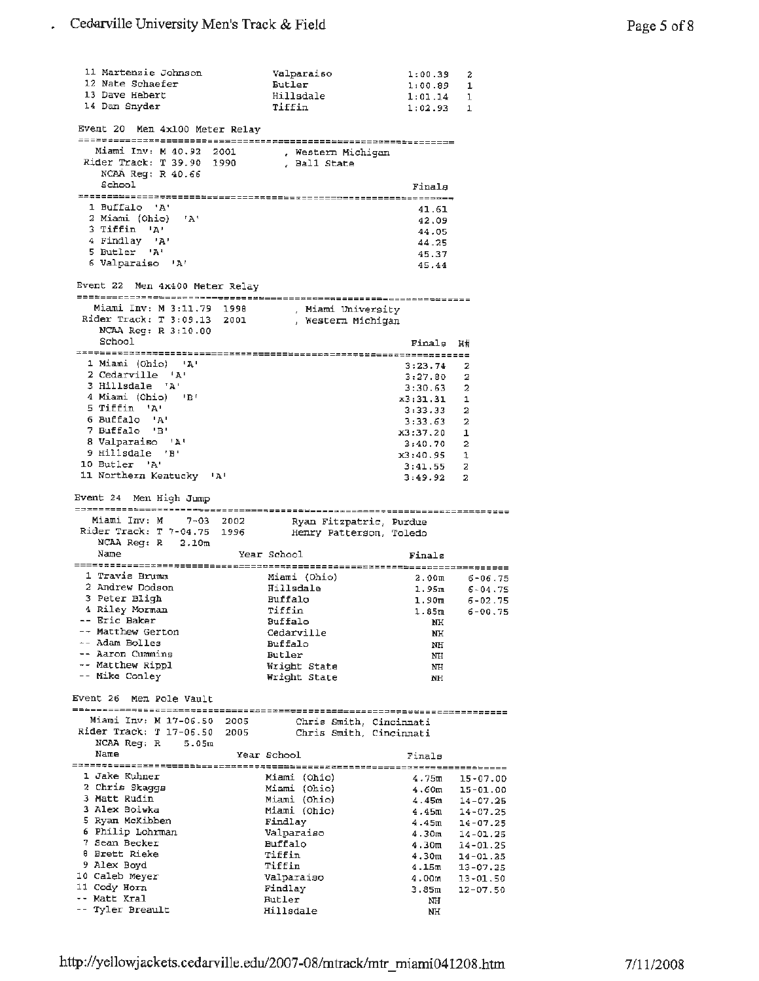| 11 Martenzie Johnson                                                                                                           | Valparaiso              | 1:00.39                | 2                            |
|--------------------------------------------------------------------------------------------------------------------------------|-------------------------|------------------------|------------------------------|
| 12 Nate Schaefer<br>13 Dave Hebert                                                                                             | Butler<br>Hillsdale     | 1:00.89<br>$1:01.14$ 1 | 1                            |
| 14 Dan Snyder                                                                                                                  | Tiffin                  | 1:02.93 1              |                              |
|                                                                                                                                |                         |                        |                              |
| Event 20 Men 4x100 Meter Relay                                                                                                 |                         |                        |                              |
| Miami Inv: M 40.92 2001 . Western Michigan                                                                                     |                         |                        |                              |
| Rider Track: T 39.90 1990 , Ball State                                                                                         |                         |                        |                              |
| NCAA Reg: R 40.66                                                                                                              |                         |                        |                              |
| School                                                                                                                         |                         | Finals                 |                              |
|                                                                                                                                |                         |                        |                              |
| 1 Buffalo 'A'                                                                                                                  |                         | 41.61                  |                              |
| 2 Miami (Ohio) 'A'<br>3 Tiffin 'A'                                                                                             |                         | 42.09                  |                              |
| 4 Findlay 'A'                                                                                                                  |                         | 44.05<br>44.25         |                              |
| 5 Butler 'A'                                                                                                                   |                         | 45.37                  |                              |
| 6 Valparaiso 'A'                                                                                                               |                         | 45.44                  |                              |
| Event 22 Men 4x400 Meter Relay                                                                                                 |                         |                        |                              |
|                                                                                                                                |                         |                        |                              |
| Miami Inv: M 3:11.79 1998 . Miami University<br>Rider Track: T 3:09.13 2001 , Western Michigan                                 |                         |                        |                              |
| NCAA Reg: R 3:10.00                                                                                                            |                         |                        |                              |
| School                                                                                                                         |                         | Finals H#              |                              |
|                                                                                                                                |                         |                        |                              |
| 1 Miami (Ohio) 'A'                                                                                                             |                         | 3:23.74                | 2                            |
| 2 Cedarville 'A'<br>3 Hillsdale 'A'                                                                                            |                         | 3:27.80                | 2                            |
| 4 Miami (Ohio) 'B'                                                                                                             |                         | 3:30.63<br>x3:31.31    | $\overline{\mathbf{2}}$<br>1 |
| 5 Tiffin 'A'                                                                                                                   |                         | 3:33.33                | 2                            |
| 6 Buffalo 'A'                                                                                                                  |                         | 3:33.63                | 2                            |
| 7 Buffalo 'B'                                                                                                                  |                         | x3:37.20               | 1                            |
| 8 Valparaiso 'A'                                                                                                               |                         | 3:40.70                | 2                            |
| 9 Hillsdale 'B'<br>10 Butler 'A'                                                                                               |                         | x3:40.95               | 1                            |
| 11 Northern Kentucky 'A'                                                                                                       |                         | 3:41.55                | z                            |
|                                                                                                                                |                         | 3:49.92                | $\overline{\mathbf{2}}$      |
|                                                                                                                                |                         |                        |                              |
| Event 24 Men High Jump                                                                                                         |                         |                        |                              |
|                                                                                                                                |                         |                        |                              |
| Miami Inv: M 7-03 2002                                                                                                         |                         |                        |                              |
| Miami Inv: M 7-03 2002 Ryan Fitzpatric, Purdue<br>Rider Track: T 7-04.75 1996 Henry Patterson, Toledo<br>$NCAA$ Reg: R $2.10m$ |                         |                        |                              |
| Name                                                                                                                           | Year School             | Finals                 |                              |
|                                                                                                                                |                         |                        |                              |
| 1 Travis Brumm                                                                                                                 | Miami (Ohio)            |                        | $2.00m$ 6-06.75              |
| 2 Andrew Dodson                                                                                                                | Hillsdale               |                        | $1.95m$ 6-04.75              |
| 3 Peter Bligh<br>4 Riley Morman                                                                                                | Buffalo<br>Tiffin       | 1.90m<br>1.85m         | $6 - 02.75$                  |
| -- Eric Baker                                                                                                                  | Buffalo                 | <b>NH</b>              | $6 - 00.75$                  |
| -- Matthew Gerton                                                                                                              | Cedarville              | NH                     |                              |
| -- Adam Bolles                                                                                                                 | Buffalo                 | NH                     |                              |
| -- Aaron Cummins                                                                                                               | Butler                  | ΝH                     |                              |
| -- Matthew Rippl                                                                                                               | Wright State            | ΝH                     |                              |
| -- Mike Conley                                                                                                                 | Wright State            | NH                     |                              |
| Event 26 Men Pole Vault                                                                                                        |                         |                        |                              |
| Miami Inv: M 17-06.50 2005                                                                                                     | Chris Smith, Cincinnati |                        |                              |
| Rider Track: T 17-06.50 2005                                                                                                   | Chris Smith, Cincinnati |                        |                              |
| NCAA $Reg: R = 5.05m$                                                                                                          |                         |                        |                              |
| Name                                                                                                                           | Year School             | Finals                 |                              |
| 1 Jake Kuhner                                                                                                                  | Miami (Ohio)            | 4.75m                  |                              |
| 2 Chris Skaggs                                                                                                                 | Miami (Ohio)            | 4.60m                  | $15 - 07.00$<br>$15 - 01.00$ |
| 3 Matt Rudin                                                                                                                   | Miami (Ohio)            | 4.45m                  | $14 - 07.25$                 |
| 3 Alex Boiwka                                                                                                                  | Miami (Ohio)            | 4.45m                  | $14 - 07.25$                 |
| 5 Ryan McKibben                                                                                                                | Findlay                 | 4.45m                  | $14 - 07.25$                 |
| 6 Philip Lohrman                                                                                                               | Valparaiso              | 4.30 <sub>m</sub>      | $14 - 01.25$                 |
| 7 Sean Becker                                                                                                                  | Buffalo                 | 4.30m                  | 14-01.25                     |
| 8 Brett Rieke<br>9 Alex Boyd                                                                                                   | Tiffin                  | 4.30 <sub>m</sub>      | $14 - 01.25$                 |
| 10 Caleb Meyer                                                                                                                 | Tiffin<br>Valparaiso    | 4.15m                  | 13-07.25                     |
| 11 Cody Horn                                                                                                                   | Findlay                 | 4.00m<br>3.85m         | 13-01.50<br>$12 - 07.50$     |
| -- Matt Kral<br>-- Tyler Breault                                                                                               | Butler<br>Hillsdale     | NH                     |                              |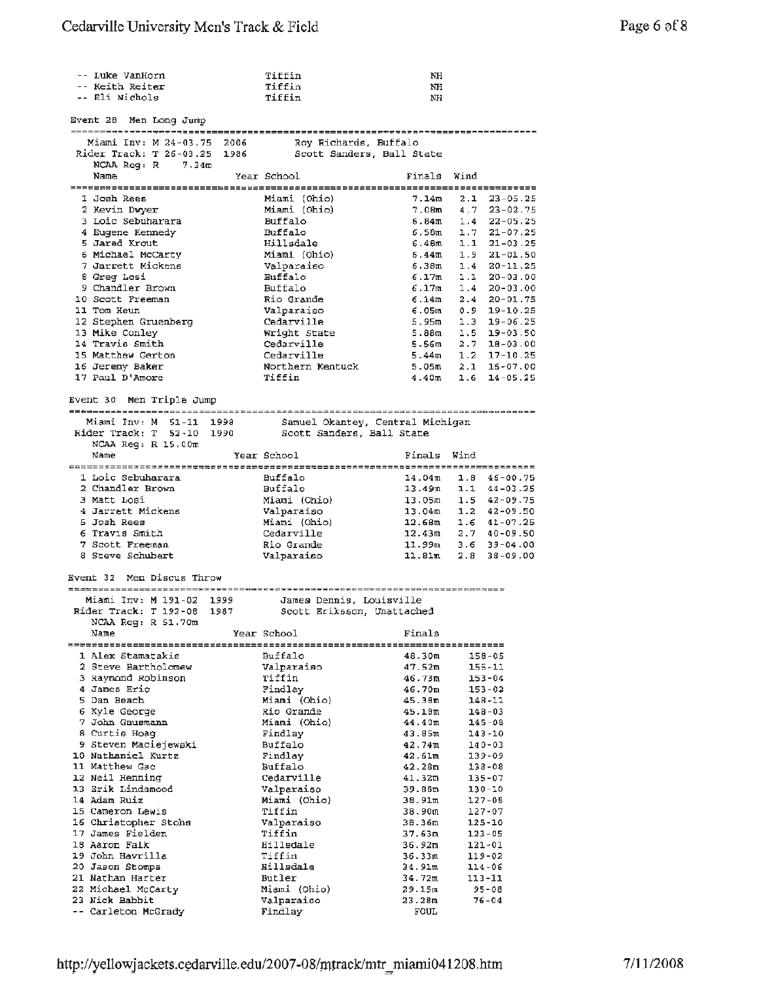| -- Luke VanHorn                                          | Tiffin                     | NH                |     |                    |
|----------------------------------------------------------|----------------------------|-------------------|-----|--------------------|
| -- Keith Reiter<br>-- Eli Nichols                        | Tiffin<br>Tiffin           | NH<br>NH          |     |                    |
|                                                          |                            |                   |     |                    |
| Event 28 Men Long Jump                                   |                            |                   |     |                    |
|                                                          |                            |                   |     |                    |
| Miami Inv: M 24-03.75 2006                               | Roy Richards, Buffalo      |                   |     |                    |
| Rider Track: T 26-03.25 1986                             | Scott Sanders, Ball State  |                   |     |                    |
| NCAA $\text{Re}q: R = 7.34m$                             |                            |                   |     |                    |
| Name                                                     | Year School                | Finals Wind       |     |                    |
| I Josh Rees                                              | Miami (Ohio)               | 7.14m             |     | $2.1$ $23-05.25$   |
| 2 Kevin Dwyer                                            | Miami (Ohio)               | 7.08m             |     | $4.7$ $23-02.75$   |
| 3 Loic Sebuharara                                        | Buffalo                    | 5.84 m            |     | $1.4$ $22 - 05.25$ |
| 4 Eugene Kennedy                                         | Buffalo                    | 6.58m             |     | $1.7$ $21-07.25$   |
| 5 Jared Krout                                            | Hillsdale                  | 6.48m             | 1.1 | $21 - 03.25$       |
| 6 Michael McCarty                                        | Miami (Ohio)               | 6.44 m            |     | $1.9$ $21 - 01.50$ |
| 7 Jarrett Mickens                                        | Valparaiso                 | 6.38m             | 1.4 | $20 - 11.25$       |
| 8 Greg Losi                                              | Buffalo                    | 6.17m             |     | $1.1$ 20-03.00     |
| 9 Chandler Brown                                         | Buffalo                    | 6.17m             |     | $1.4$ 20-03.00     |
| 10 Scott Freeman                                         | Rio Grande                 | 6.14m             |     | $2.4$ $20-01.75$   |
| 11 Tom Heun                                              | Valparaiso                 | 6.05m             |     | $0.9$ 19-10.25     |
| 12 Stephen Gruenberg                                     | Cedarville                 | 5.95m             |     | $1.3$ 19-06.25     |
| 13 Mike Conley                                           | Wright State               | 5.88m             |     | $1.5$ 19-03.50     |
| 14 Travis Smith                                          | Cedarville                 | 5.56m             |     | $2.7$ 18-03.00     |
| 15 Matthew Gerton                                        | Cedarville                 | 5.44 <sub>m</sub> |     | $1.2$ 17-10.25     |
| 16 Jeremy Baker                                          | Northern Kentuck           | 5.05m             |     | $2.1$ 16-07.00     |
| 17 Paul D'Amore                                          | Tiffin                     | 4.40m             | 1.6 | $14 - 05.25$       |
|                                                          |                            |                   |     |                    |
| Event 30 Men Triple Jump                                 |                            |                   |     |                    |
| Miami Inv: M 51-11 1998 Samuel Okantey, Central Michigan |                            |                   |     |                    |
| Rider Track: T 52-10 1990 Scott Sanders, Ball State      |                            |                   |     |                    |
| $NCAA$ Reg: $R$ 15.00m                                   |                            |                   |     |                    |
| Name                                                     | Year School                | Finals Wind       |     |                    |
|                                                          |                            |                   |     |                    |
| 1 Loic Sebuharara                                        | <b>Buffalo</b>             | 14.04m            |     | $1.8$ 46-00.75     |
| 2 Chandler Brown                                         | Buffalo                    | 13.49m            |     | $1.1$ $44-03.25$   |
| 3 Matt Losi                                              | Miami (Ohio)               | 13.05m            |     | $1.5$ $42-09.75$   |
| 4 Jarrett Mickens                                        | Valparaiso                 | 13.04m            |     | $1.2$ 42-09.50     |
| 5 Josh Rees                                              | Miami (Ohio)               | 12.68m            |     | $1.6$ $41-07.25$   |
| 6 Travis Smith                                           | Cedarville                 | 12.43m            |     | $2.7$ $40-09.50$   |
| 7 Scott Freeman                                          | Rio Grande                 | 11.99m            |     | $3.6$ $39-04.00$   |
| 8 Steve Schubert                                         | Valparaiso                 | 11.81m            | 2.8 | $38 - 09.00$       |
|                                                          |                            |                   |     |                    |
| Men Discus Throw<br>Event $32$                           |                            |                   |     |                    |
|                                                          |                            |                   |     |                    |
| Miami Inv: M 191-02<br>1999                              | James Dennis, Louisville   |                   |     |                    |
| Rider Track: T 192-08<br>1987                            | Scott Eriksson, Unattached |                   |     |                    |
| NCAA Reg: R 51.70m<br>Name                               | Year School                | Finals            |     |                    |
|                                                          |                            |                   |     |                    |
| 1 Alex Stamatakis                                        | Buffalo                    | 48.30m            |     | 158-05             |
| 2 Steve Bartholomew                                      | Valparaiso                 | 47.52m            |     | $155 - 11$         |
| 3 Raymond Robinson                                       | Tiffin                     | 46.73m            |     | $153 - 04$         |
| 4 James Eric                                             | Findlay                    | 46.70m            |     | $153 - 02$         |
| 5 Dan Beach                                              | Miami (Ohio)               | 45.38m            |     | 148-11             |
| 6 Kyle George                                            | Rio Grande                 | 45.18m            |     | $148 - 03$         |
| 7 John Gausmann                                          | Miami (Ohio)               | 44.40m            |     | $145 - 08$         |
| 8 Curtis Hoag                                            | Findlay                    | 43.85m            |     | $143 - 10$         |
| 9 Steven Maciejewski                                     | Buffalo                    | 42.74m            |     | $140 - 03$         |
| 10 Nathaniel Kurtz                                       | Findlay                    | 42.61m            |     | 139-09             |
| 11 Matthew Gac                                           | Buffalo                    | 42.28m            |     | 138-08             |
| 12 Neil Henning                                          | Cedarville                 | 41.32m            |     | 135-07             |
| 13 Erik Lindamood                                        | Valparaiso                 | 39.88m            |     | 130-10             |
| 14 Adam Ruiz                                             | Miami (Ohio)               | 38.91m            |     | 127-08             |
| 15 Cameron Lewis                                         | Tiffin                     | 38.90m            |     | 127-07             |
| 16 Christopher Stohs                                     | Valparaiso                 | 38.36m            |     | 125-10             |
| 17 James Fielden                                         | Tiffin                     | 37.63m            |     | 123-05             |
| 18 Aaron Falk                                            | Hillsdale                  | 36.92m            |     | 121-01             |
| 19 John Havrilla                                         | Tiffin                     | 36.33m            |     | 119-02             |
| 20 Jason Stomps<br>21 Nathan Harter                      | Hillsdale<br>Butler        | 34.91m            |     | 114-06             |
| 22 Michael McCarty                                       | Miami (Ohio)               | 34.72m<br>29.15m  |     | 113-11<br>95-08    |
| 23 Nick Babbit                                           | Valparaiso                 | 23.28m            |     | 76-04              |
| -- Carleton McGrady                                      | Findlay                    | FOUL              |     |                    |
|                                                          |                            |                   |     |                    |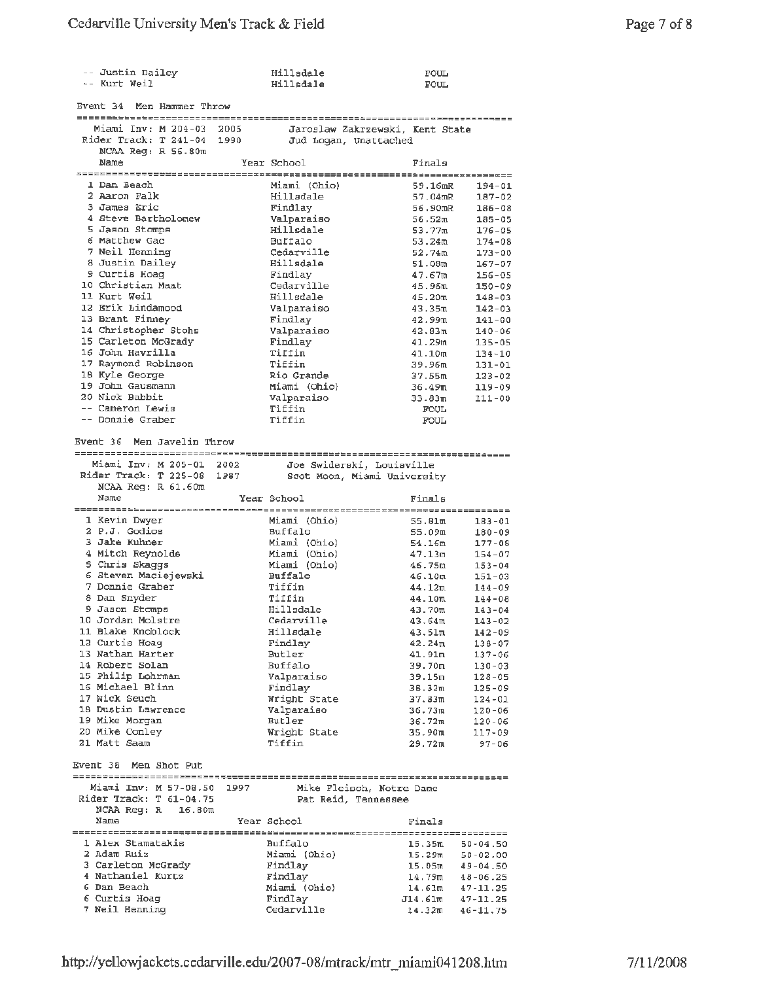| -- Justin Dailey<br>-- Kurt Weil                        |      | Hillsdale<br>Hillsdale    | FOUL<br>FOUL                                 |
|---------------------------------------------------------|------|---------------------------|----------------------------------------------|
| Event 34<br>Men Hammer Throw                            |      |                           |                                              |
|                                                         |      |                           |                                              |
| Miami Inv: M 204-03 2005<br>Rider Track: T 241-04       | 1990 |                           | Jaroslaw Zakrzewski, Kent State              |
| NCAA Reg: R 56.80m                                      |      | Jud Logan, Unattached     |                                              |
| Name                                                    |      | Year School               | Finals                                       |
|                                                         |      |                           |                                              |
| 1 Dan Beach                                             |      | Miami (Ohio)              | 59.16mR<br>$194 - 01$                        |
| 2 Aaron Falk                                            |      | Hillsdale                 | 57.04mR<br>187-02                            |
| 3 James Eric                                            |      | Findlay                   | 56.90mR<br>$186 - 08$                        |
| 4 Steve Bartholomew                                     |      | Valparaiso                | 56.52 <sub>m</sub><br>$185 - 05$             |
| 5 Jason Stomps                                          |      | Hillsdale                 | 53.77m<br>$176 - 05$                         |
| 6 Matthew Gac                                           |      | Buffalo                   | 53.24m<br>174-08                             |
| 7 Neil Henning                                          |      | Cedarville<br>Hillsdale   | 52.74m<br>$173 - 00$                         |
| 8 Justin Dailey<br>9 Curtis Hoag                        |      | Findlay                   | 51.08m<br>$167 - 07$<br>47.67m<br>$156 - 05$ |
| 10 Christian Maat                                       |      | Cedarville                | 45.96 <sup>π</sup><br>150-09                 |
| 11 Kurt Weil                                            |      | Hillsdale                 | 45.20m<br>148-03                             |
| 12 Erik Lindamood                                       |      | Valparaiso                | 43.35m<br>$142 - 03$                         |
| 13 Brant Finney                                         |      | Findlay                   | 42.99m<br>$141 - 00$                         |
| 14 Christopher Stohs                                    |      | Valparaiso                | 42.83m<br>140-06                             |
| 15 Carleton McGrady                                     |      | Findlay                   | 41.29m<br>$135 - 05$                         |
| 16 John Havrilla                                        |      | Tiffin                    | 41.10m<br>$134 - 10$                         |
| 17 Raymond Robinson                                     |      | Tiffin                    | 39.96m<br>131-01                             |
| 18 Kyle George                                          |      | Rio Grande                | 37.55m<br>123-02                             |
| 19 John Gausmann                                        |      | Miami (Ohio)              | 36.49m<br>$119 - 09$                         |
| 20 Nick Babbit<br>-- Cameron Lewis                      |      | Valparaiso                | 33.83m<br>111-00                             |
| -- Donnie Graber                                        |      | Tiffin<br>Tiffin          | FOUL                                         |
|                                                         |      |                           | FOUL                                         |
| Event 36 Men Javelin Throw                              |      |                           |                                              |
| Miami Inv: M 205-01 2002                                |      | Joe Swiderski, Louiaville |                                              |
| Rider Track: T 225-08                                   | 1987 |                           | Scot Moon, Miami University                  |
| $NCAA$ $Req: R 61.60m$                                  |      |                           |                                              |
| Name                                                    |      | Year School               | Finals                                       |
|                                                         |      |                           |                                              |
| 1 Kevin Dwyer                                           |      | Miami (Ohio)              | 55.81m<br>$183 - 01$                         |
| 2 P.J. Godios                                           |      | Buffalo                   | 55.09m<br>$180 - 09$                         |
| 3 Jake Kuhner                                           |      | Miami (Ohio)              | 54.16m<br>177-08                             |
| 4 Mitch Reynolde                                        |      | Miami (Ohio)              | 47.13m<br>$154 - 07$                         |
| 5 Chris Skaggs<br>6 Steven Maciejewski                  |      | Miami (Ohio)              | 46.75m<br>$153 - 04$                         |
| 7 Donnie Graber                                         |      | Buffalo<br>Tiffin         | 46.10m<br>$151 - 03$<br>44.12m<br>$144 - 09$ |
| 8 Dan Snyder                                            |      | Tiffin                    | 44.10m<br>144-08                             |
| 9 Jason Stomps                                          |      | Hillsdale                 | 43.70m<br>143-04                             |
| 10 Jordan Molstre                                       |      | Cedarville                | 43.64m<br>$143 - 02$                         |
| 11 Blake Knoblock                                       |      | Hillsdale                 | 43.51m<br>$142 - 09$                         |
| 12 Curtis Hoag                                          |      | Findlay                   | 42.24 <sub>π</sub><br>138-07                 |
| 13 Nathan Harter                                        |      | Butler                    | 41.91m<br>$137 - 06$                         |
| 14 Robert Solan                                         |      | Buffalo                   | 39.70m<br>$130 - 03$                         |
| 15 Philip Lohrman                                       |      | Valparaiso                | 39.15m<br>$128 - 05$                         |
| 16 Michael Blinn                                        |      | Findlay                   | 36.32ա<br>125-09                             |
| 17 Nick Seuch                                           |      | Wright State              | 37.83m<br>$124 - 01$                         |
| 18 Dustin Lawrence                                      |      | Valparaiso                | 36.73 <sub>π</sub><br>$120 - 06$             |
| 19 Mike Morgan<br>20 Mike Conley                        |      | Butler<br>Wright State    | 36.72m<br>$120 - 06$<br>35.90m               |
| 21 Matt Saam                                            |      | Tiffin                    | 117-09<br>29.72m<br>$97 - 06$                |
|                                                         |      |                           |                                              |
| Event 38 Men Shot Put                                   |      |                           |                                              |
|                                                         |      |                           |                                              |
|                                                         |      |                           | Mike Fleisch, Notre Dame                     |
| Miami Inv: M 57-08.50 1997<br>Rider Track: T $61-04.75$ |      |                           |                                              |
| NCAA Reg: R 16.80m                                      |      | Pat Reid, Tennessee       |                                              |
| Name                                                    |      | Year School               | Finals                                       |
|                                                         |      |                           |                                              |
| 1 Alex Stamatakis                                       |      | Buffalo                   | 15.35m<br>$50 - 04.50$                       |
| 2 Adam Ruiz                                             |      | Miami (Ohio)              | $15.29m$ $50-02.00$                          |
| 3 Carleton McGrady                                      |      | Findlay                   | $15.05m$ $49-04.50$                          |
| 4 Nathaniel Kurtz                                       |      | Findlay                   | $14.79m$ $48-06.25$                          |
| 6 Dan Beach                                             |      | Miami (Ohio)              | $14.61m$ $47-11.25$                          |
| 6 Curtis Hoag<br>7 Neil Henning                         |      | Findlay<br>Cedarville     | $J14.61m$ $47-11.25$<br>$14.32m$ $46-11.75$  |